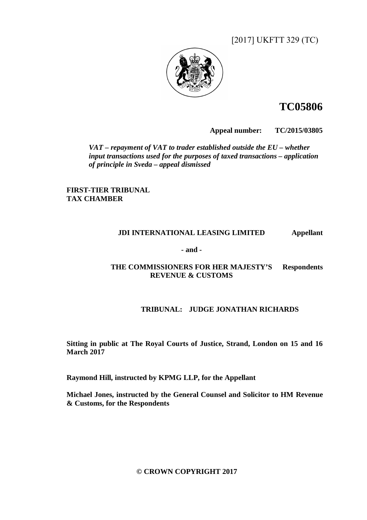[2017] UKFTT 329 (TC)



# **TC05806**

**Appeal number: TC/2015/03805** 

*VAT – repayment of VAT to trader established outside the EU – whether input transactions used for the purposes of taxed transactions – application of principle in Sveda – appeal dismissed* 

**FIRST-TIER TRIBUNAL TAX CHAMBER** 

### **JDI INTERNATIONAL LEASING LIMITED Appellant**

**- and -** 

### **THE COMMISSIONERS FOR HER MAJESTY'S Respondents REVENUE & CUSTOMS**

## **TRIBUNAL: JUDGE JONATHAN RICHARDS**

**Sitting in public at The Royal Courts of Justice, Strand, London on 15 and 16 March 2017** 

**Raymond Hill, instructed by KPMG LLP, for the Appellant** 

**Michael Jones, instructed by the General Counsel and Solicitor to HM Revenue & Customs, for the Respondents** 

**© CROWN COPYRIGHT 2017**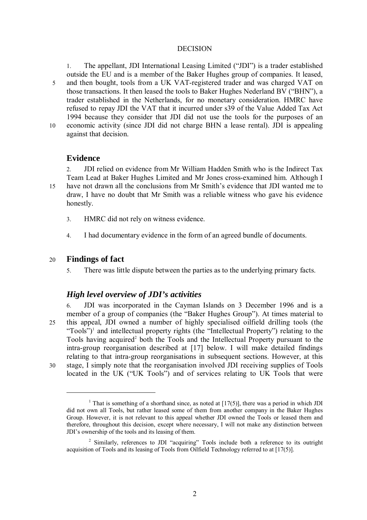#### DECISION

1. The appellant, JDI International Leasing Limited ("JDI") is a trader established outside the EU and is a member of the Baker Hughes group of companies. It leased, 5 and then bought, tools from a UK VAT-registered trader and was charged VAT on those transactions. It then leased the tools to Baker Hughes Nederland BV ("BHN"), a trader established in the Netherlands, for no monetary consideration. HMRC have refused to repay JDI the VAT that it incurred under s39 of the Value Added Tax Act 1994 because they consider that JDI did not use the tools for the purposes of an 10 economic activity (since JDI did not charge BHN a lease rental). JDI is appealing against that decision.

### **Evidence**

2. JDI relied on evidence from Mr William Hadden Smith who is the Indirect Tax Team Lead at Baker Hughes Limited and Mr Jones cross-examined him. Although I 15 have not drawn all the conclusions from Mr Smith's evidence that JDI wanted me to draw, I have no doubt that Mr Smith was a reliable witness who gave his evidence honestly.

- 3. HMRC did not rely on witness evidence.
- 4. I had documentary evidence in the form of an agreed bundle of documents.

### 20 **Findings of fact**

5. There was little dispute between the parties as to the underlying primary facts.

### *High level overview of JDI's activities*

6. JDI was incorporated in the Cayman Islands on 3 December 1996 and is a member of a group of companies (the "Baker Hughes Group"). At times material to 25 this appeal, JDI owned a number of highly specialised oilfield drilling tools (the "Tools")<sup>1</sup> and intellectual property rights (the "Intellectual Property") relating to the Tools having acquired<sup>2</sup> both the Tools and the Intellectual Property pursuant to the intra-group reorganisation described at [17] below. I will make detailed findings relating to that intra-group reorganisations in subsequent sections. However, at this 30 stage, I simply note that the reorganisation involved JDI receiving supplies of Tools located in the UK ("UK Tools") and of services relating to UK Tools that were

 $\overline{a}$ 

<sup>&</sup>lt;sup>1</sup> That is something of a shorthand since, as noted at  $[17(5)]$ , there was a period in which JDI did not own all Tools, but rather leased some of them from another company in the Baker Hughes Group. However, it is not relevant to this appeal whether JDI owned the Tools or leased them and therefore, throughout this decision, except where necessary, I will not make any distinction between JDI's ownership of the tools and its leasing of them.

<sup>&</sup>lt;sup>2</sup> Similarly, references to JDI "acquiring" Tools include both a reference to its outright acquisition of Tools and its leasing of Tools from Oilfield Technology referred to at [17(5)].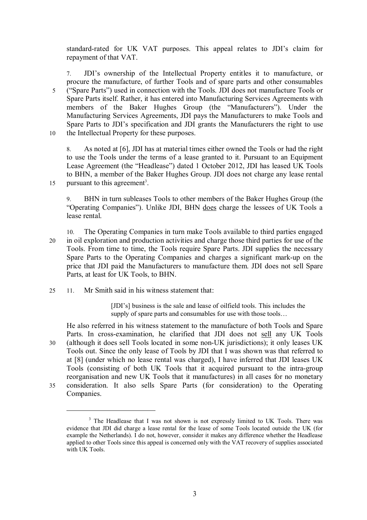standard-rated for UK VAT purposes. This appeal relates to JDI's claim for repayment of that VAT.

7. JDI's ownership of the Intellectual Property entitles it to manufacture, or procure the manufacture, of further Tools and of spare parts and other consumables 5 ("Spare Parts") used in connection with the Tools. JDI does not manufacture Tools or Spare Parts itself. Rather, it has entered into Manufacturing Services Agreements with members of the Baker Hughes Group (the "Manufacturers"). Under the Manufacturing Services Agreements, JDI pays the Manufacturers to make Tools and Spare Parts to JDI's specification and JDI grants the Manufacturers the right to use 10 the Intellectual Property for these purposes.

8. As noted at [6], JDI has at material times either owned the Tools or had the right to use the Tools under the terms of a lease granted to it. Pursuant to an Equipment Lease Agreement (the "Headlease") dated 1 October 2012, JDI has leased UK Tools to BHN, a member of the Baker Hughes Group. JDI does not charge any lease rental 15 pursuant to this agreement<sup>3</sup>.

9. BHN in turn subleases Tools to other members of the Baker Hughes Group (the "Operating Companies"). Unlike JDI, BHN does charge the lessees of UK Tools a lease rental.

- 10. The Operating Companies in turn make Tools available to third parties engaged 20 in oil exploration and production activities and charge those third parties for use of the Tools. From time to time, the Tools require Spare Parts. JDI supplies the necessary Spare Parts to the Operating Companies and charges a significant mark-up on the price that JDI paid the Manufacturers to manufacture them. JDI does not sell Spare Parts, at least for UK Tools, to BHN.
- $25 11$  Mr Smith said in his witness statement that:

 $\overline{a}$ 

[JDI's] business is the sale and lease of oilfield tools. This includes the supply of spare parts and consumables for use with those tools...

He also referred in his witness statement to the manufacture of both Tools and Spare Parts. In cross-examination, he clarified that JDI does not sell any UK Tools 30 (although it does sell Tools located in some non-UK jurisdictions); it only leases UK Tools out. Since the only lease of Tools by JDI that I was shown was that referred to at [8] (under which no lease rental was charged), I have inferred that JDI leases UK Tools (consisting of both UK Tools that it acquired pursuant to the intra-group reorganisation and new UK Tools that it manufactures) in all cases for no monetary 35 consideration. It also sells Spare Parts (for consideration) to the Operating Companies.

3

<sup>&</sup>lt;sup>3</sup> The Headlease that I was not shown is not expressly limited to UK Tools. There was evidence that JDI did charge a lease rental for the lease of some Tools located outside the UK (for example the Netherlands). I do not, however, consider it makes any difference whether the Headlease applied to other Tools since this appeal is concerned only with the VAT recovery of supplies associated with UK Tools.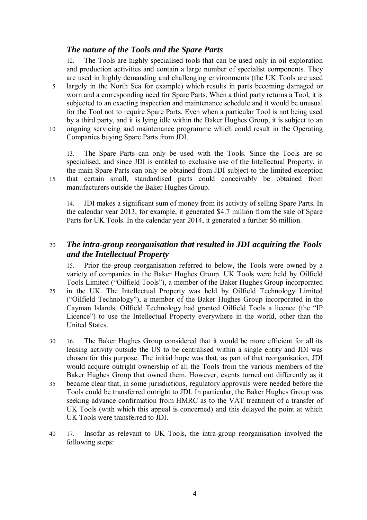# *The nature of the Tools and the Spare Parts*

12. The Tools are highly specialised tools that can be used only in oil exploration and production activities and contain a large number of specialist components. They are used in highly demanding and challenging environments (the UK Tools are used 5 largely in the North Sea for example) which results in parts becoming damaged or worn and a corresponding need for Spare Parts. When a third party returns a Tool, it is subjected to an exacting inspection and maintenance schedule and it would be unusual for the Tool not to require Spare Parts. Even when a particular Tool is not being used by a third party, and it is lying idle within the Baker Hughes Group, it is subject to an 10 ongoing servicing and maintenance programme which could result in the Operating

Companies buying Spare Parts from JDI.

13. The Spare Parts can only be used with the Tools. Since the Tools are so specialised, and since JDI is entitled to exclusive use of the Intellectual Property, in the main Spare Parts can only be obtained from JDI subject to the limited exception 15 that certain small, standardised parts could conceivably be obtained from manufacturers outside the Baker Hughes Group.

14. JDI makes a significant sum of money from its activity of selling Spare Parts. In the calendar year 2013, for example, it generated \$4.7 million from the sale of Spare Parts for UK Tools. In the calendar year 2014, it generated a further \$6 million.

# 20 *The intra-group reorganisation that resulted in JDI acquiring the Tools and the Intellectual Property*

15. Prior the group reorganisation referred to below, the Tools were owned by a variety of companies in the Baker Hughes Group. UK Tools were held by Oilfield Tools Limited ("Oilfield Tools"), a member of the Baker Hughes Group incorporated 25 in the UK. The Intellectual Property was held by Oilfield Technology Limited

- ("Oilfield Technology"), a member of the Baker Hughes Group incorporated in the Cayman Islands. Oilfield Technology had granted Oilfield Tools a licence (the "IP Licence") to use the Intellectual Property everywhere in the world, other than the United States.
- 30 16. The Baker Hughes Group considered that it would be more efficient for all its leasing activity outside the US to be centralised within a single entity and JDI was chosen for this purpose. The initial hope was that, as part of that reorganisation, JDI would acquire outright ownership of all the Tools from the various members of the Baker Hughes Group that owned them. However, events turned out differently as it
- 35 became clear that, in some jurisdictions, regulatory approvals were needed before the Tools could be transferred outright to JDI. In particular, the Baker Hughes Group was seeking advance confirmation from HMRC as to the VAT treatment of a transfer of UK Tools (with which this appeal is concerned) and this delayed the point at which UK Tools were transferred to JDI.
- 40 17. Insofar as relevant to UK Tools, the intra-group reorganisation involved the following steps: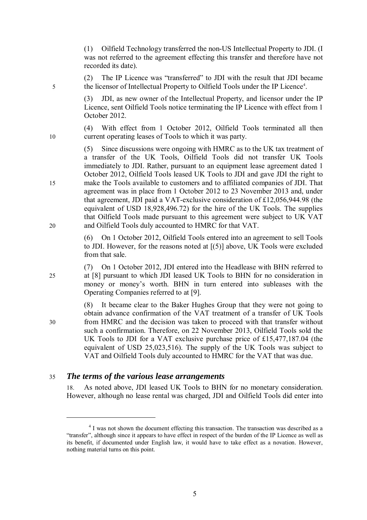(1) Oilfield Technology transferred the non-US Intellectual Property to JDI. (I was not referred to the agreement effecting this transfer and therefore have not recorded its date).

(2) The IP Licence was "transferred" to JDI with the result that JDI became 5 the licensor of Intellectual Property to Oilfield Tools under the IP Licence<sup>4</sup>.

> (3) JDI, as new owner of the Intellectual Property, and licensor under the IP Licence, sent Oilfield Tools notice terminating the IP Licence with effect from 1 October 2012.

(4) With effect from 1 October 2012, Oilfield Tools terminated all then 10 current operating leases of Tools to which it was party.

(5) Since discussions were ongoing with HMRC as to the UK tax treatment of a transfer of the UK Tools, Oilfield Tools did not transfer UK Tools immediately to JDI. Rather, pursuant to an equipment lease agreement dated 1 October 2012, Oilfield Tools leased UK Tools to JDI and gave JDI the right to 15 make the Tools available to customers and to affiliated companies of JDI. That agreement was in place from 1 October 2012 to 23 November 2013 and, under that agreement, JDI paid a VAT-exclusive consideration of £12,056,944.98 (the equivalent of USD 18,928,496.72) for the hire of the UK Tools. The supplies that Oilfield Tools made pursuant to this agreement were subject to UK VAT 20 and Oilfield Tools duly accounted to HMRC for that VAT.

> (6) On 1 October 2012, Oilfield Tools entered into an agreement to sell Tools to JDI. However, for the reasons noted at [(5)] above, UK Tools were excluded from that sale.

(7) On 1 October 2012, JDI entered into the Headlease with BHN referred to 25 at [8] pursuant to which JDI leased UK Tools to BHN for no consideration in money or money's worth. BHN in turn entered into subleases with the Operating Companies referred to at [9].

(8) It became clear to the Baker Hughes Group that they were not going to obtain advance confirmation of the VAT treatment of a transfer of UK Tools 30 from HMRC and the decision was taken to proceed with that transfer without such a confirmation. Therefore, on 22 November 2013, Oilfield Tools sold the UK Tools to JDI for a VAT exclusive purchase price of £15,477,187.04 (the equivalent of USD 25,023,516). The supply of the UK Tools was subject to VAT and Oilfield Tools duly accounted to HMRC for the VAT that was due.

## 35 *The terms of the various lease arrangements*

 $\overline{a}$ 

18. As noted above, JDI leased UK Tools to BHN for no monetary consideration. However, although no lease rental was charged, JDI and Oilfield Tools did enter into

5

<sup>&</sup>lt;sup>4</sup> I was not shown the document effecting this transaction. The transaction was described as a "transfer", although since it appears to have effect in respect of the burden of the IP Licence as well as its benefit, if documented under English law, it would have to take effect as a novation. However, nothing material turns on this point.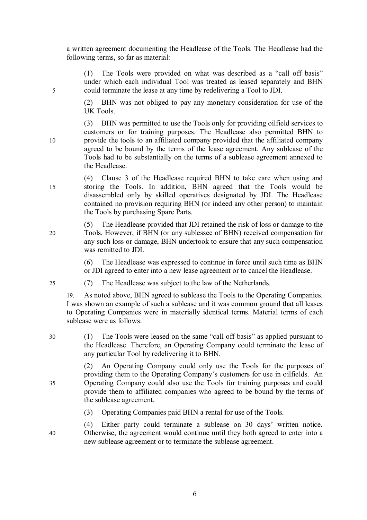a written agreement documenting the Headlease of the Tools. The Headlease had the following terms, so far as material:

(1) The Tools were provided on what was described as a "call off basis" under which each individual Tool was treated as leased separately and BHN 5 could terminate the lease at any time by redelivering a Tool to JDI.

> (2) BHN was not obliged to pay any monetary consideration for use of the UK Tools.

(3) BHN was permitted to use the Tools only for providing oilfield services to customers or for training purposes. The Headlease also permitted BHN to 10 provide the tools to an affiliated company provided that the affiliated company agreed to be bound by the terms of the lease agreement. Any sublease of the Tools had to be substantially on the terms of a sublease agreement annexed to the Headlease.

(4) Clause 3 of the Headlease required BHN to take care when using and 15 storing the Tools. In addition, BHN agreed that the Tools would be disassembled only by skilled operatives designated by JDI. The Headlease contained no provision requiring BHN (or indeed any other person) to maintain the Tools by purchasing Spare Parts.

(5) The Headlease provided that JDI retained the risk of loss or damage to the 20 Tools. However, if BHN (or any sublessee of BHN) received compensation for any such loss or damage, BHN undertook to ensure that any such compensation was remitted to JDI.

> (6) The Headlease was expressed to continue in force until such time as BHN or JDI agreed to enter into a new lease agreement or to cancel the Headlease.

25 (7) The Headlease was subject to the law of the Netherlands.

19. As noted above, BHN agreed to sublease the Tools to the Operating Companies. I was shown an example of such a sublease and it was common ground that all leases to Operating Companies were in materially identical terms. Material terms of each sublease were as follows:

30 (1) The Tools were leased on the same "call off basis" as applied pursuant to the Headlease. Therefore, an Operating Company could terminate the lease of any particular Tool by redelivering it to BHN.

(2) An Operating Company could only use the Tools for the purposes of providing them to the Operating Company's customers for use in oilfields. An 35 Operating Company could also use the Tools for training purposes and could provide them to affiliated companies who agreed to be bound by the terms of the sublease agreement.

(3) Operating Companies paid BHN a rental for use of the Tools.

(4) Either party could terminate a sublease on 30 days' written notice. 40 Otherwise, the agreement would continue until they both agreed to enter into a new sublease agreement or to terminate the sublease agreement.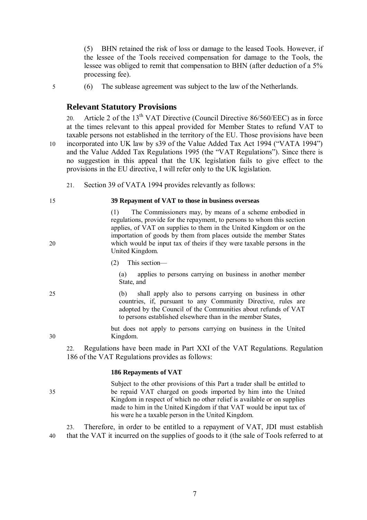(5) BHN retained the risk of loss or damage to the leased Tools. However, if the lessee of the Tools received compensation for damage to the Tools, the lessee was obliged to remit that compensation to BHN (after deduction of a 5% processing fee).

5 (6) The sublease agreement was subject to the law of the Netherlands.

### **Relevant Statutory Provisions**

20. Article 2 of the  $13<sup>th</sup> VAT$  Directive (Council Directive 86/560/EEC) as in force at the times relevant to this appeal provided for Member States to refund VAT to taxable persons not established in the territory of the EU. Those provisions have been 10 incorporated into UK law by s39 of the Value Added Tax Act 1994 ("VATA 1994") and the Value Added Tax Regulations 1995 (the "VAT Regulations"). Since there is no suggestion in this appeal that the UK legislation fails to give effect to the provisions in the EU directive, I will refer only to the UK legislation.

21. Section 39 of VATA 1994 provides relevantly as follows:

#### 15 **39 Repayment of VAT to those in business overseas**

(1) The Commissioners may, by means of a scheme embodied in regulations, provide for the repayment, to persons to whom this section applies, of VAT on supplies to them in the United Kingdom or on the importation of goods by them from places outside the member States 20 which would be input tax of theirs if they were taxable persons in the United Kingdom.

(2) This section—

(a) applies to persons carrying on business in another member State, and

25 (b) shall apply also to persons carrying on business in other countries, if, pursuant to any Community Directive, rules are adopted by the Council of the Communities about refunds of VAT to persons established elsewhere than in the member States,

but does not apply to persons carrying on business in the United 30 Kingdom.

22. Regulations have been made in Part XXI of the VAT Regulations. Regulation 186 of the VAT Regulations provides as follows:

#### **186 Repayments of VAT**

Subject to the other provisions of this Part a trader shall be entitled to 35 be repaid VAT charged on goods imported by him into the United Kingdom in respect of which no other relief is available or on supplies made to him in the United Kingdom if that VAT would be input tax of his were he a taxable person in the United Kingdom.

23. Therefore, in order to be entitled to a repayment of VAT, JDI must establish 40 that the VAT it incurred on the supplies of goods to it (the sale of Tools referred to at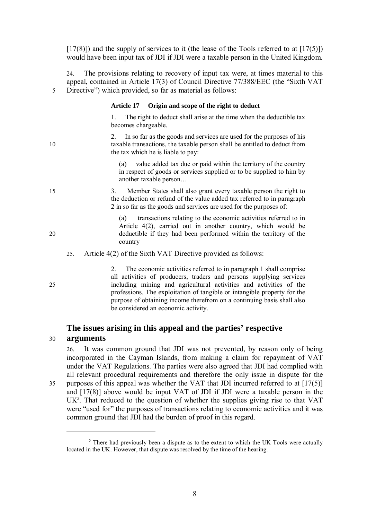$[17(8)]$  and the supply of services to it (the lease of the Tools referred to at  $[17(5)]$ ) would have been input tax of JDI if JDI were a taxable person in the United Kingdom.

24. The provisions relating to recovery of input tax were, at times material to this appeal, contained in Article 17(3) of Council Directive 77/388/EEC (the "Sixth VAT 5 Directive") which provided, so far as material as follows:

#### **Article 17 Origin and scope of the right to deduct**

1. The right to deduct shall arise at the time when the deductible tax becomes chargeable.

2. In so far as the goods and services are used for the purposes of his 10 taxable transactions, the taxable person shall be entitled to deduct from the tax which he is liable to pay:

> (a) value added tax due or paid within the territory of the country in respect of goods or services supplied or to be supplied to him by another taxable person…

15 3. Member States shall also grant every taxable person the right to the deduction or refund of the value added tax referred to in paragraph 2 in so far as the goods and services are used for the purposes of:

(a) transactions relating to the economic activities referred to in Article 4(2), carried out in another country, which would be 20 deductible if they had been performed within the territory of the country

- 25. Article 4(2) of the Sixth VAT Directive provided as follows:
- 2. The economic activities referred to in paragraph 1 shall comprise all activities of producers, traders and persons supplying services 25 including mining and agricultural activities and activities of the professions. The exploitation of tangible or intangible property for the purpose of obtaining income therefrom on a continuing basis shall also be considered an economic activity.

# **The issues arising in this appeal and the parties' respective**  30 **arguments**

26. It was common ground that JDI was not prevented, by reason only of being incorporated in the Cayman Islands, from making a claim for repayment of VAT under the VAT Regulations. The parties were also agreed that JDI had complied with all relevant procedural requirements and therefore the only issue in dispute for the 35 purposes of this appeal was whether the VAT that JDI incurred referred to at [17(5)] and [17(8)] above would be input VAT of JDI if JDI were a taxable person in the  $UK<sup>5</sup>$ . That reduced to the question of whether the supplies giving rise to that VAT were "used for" the purposes of transactions relating to economic activities and it was common ground that JDI had the burden of proof in this regard.

 $\overline{a}$ 

 $<sup>5</sup>$  There had previously been a dispute as to the extent to which the UK Tools were actually</sup> located in the UK. However, that dispute was resolved by the time of the hearing.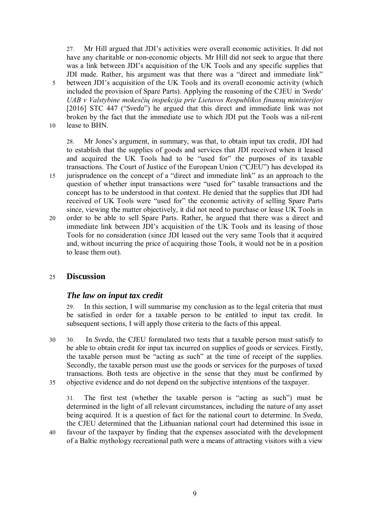27. Mr Hill argued that JDI's activities were overall economic activities. It did not have any charitable or non-economic objects. Mr Hill did not seek to argue that there was a link between JDI's acquisition of the UK Tools and any specific supplies that JDI made. Rather, his argument was that there was a "direct and immediate link" 5 between JDI's acquisition of the UK Tools and its overall economic activity (which included the provision of Spare Parts). Applying the reasoning of the CJEU in *'Sveda' UAB v Valstybine mokesčių inspekcija prie Lietuvos Respublikos finansų ministerijos* [2016] STC 447 ("*Sveda*") he argued that this direct and immediate link was not broken by the fact that the immediate use to which JDI put the Tools was a nil-rent 10 lease to BHN.

28. Mr Jones's argument, in summary, was that, to obtain input tax credit, JDI had to establish that the supplies of goods and services that JDI received when it leased and acquired the UK Tools had to be "used for" the purposes of its taxable transactions. The Court of Justice of the European Union ("CJEU") has developed its 15 jurisprudence on the concept of a "direct and immediate link" as an approach to the question of whether input transactions were "used for" taxable transactions and the concept has to be understood in that context. He denied that the supplies that JDI had received of UK Tools were "used for" the economic activity of selling Spare Parts since, viewing the matter objectively, it did not need to purchase or lease UK Tools in 20 order to be able to sell Spare Parts. Rather, he argued that there was a direct and immediate link between JDI's acquisition of the UK Tools and its leasing of those Tools for no consideration (since JDI leased out the very same Tools that it acquired and, without incurring the price of acquiring those Tools, it would not be in a position to lease them out).

### 25 **Discussion**

## *The law on input tax credit*

29. In this section, I will summarise my conclusion as to the legal criteria that must be satisfied in order for a taxable person to be entitled to input tax credit. In subsequent sections, I will apply those criteria to the facts of this appeal.

30 30. In *Sveda*, the CJEU formulated two tests that a taxable person must satisfy to be able to obtain credit for input tax incurred on supplies of goods or services. Firstly, the taxable person must be "acting as such" at the time of receipt of the supplies. Secondly, the taxable person must use the goods or services for the purposes of taxed transactions. Both tests are objective in the sense that they must be confirmed by 35 objective evidence and do not depend on the subjective intentions of the taxpayer.

31. The first test (whether the taxable person is "acting as such") must be determined in the light of all relevant circumstances, including the nature of any asset being acquired. It is a question of fact for the national court to determine. In *Sveda*, the CJEU determined that the Lithuanian national court had determined this issue in

40 favour of the taxpayer by finding that the expenses associated with the development of a Baltic mythology recreational path were a means of attracting visitors with a view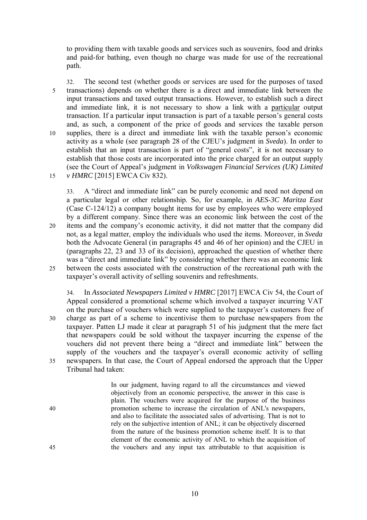to providing them with taxable goods and services such as souvenirs, food and drinks and paid-for bathing, even though no charge was made for use of the recreational path.

32. The second test (whether goods or services are used for the purposes of taxed 5 transactions) depends on whether there is a direct and immediate link between the input transactions and taxed output transactions. However, to establish such a direct and immediate link, it is not necessary to show a link with a particular output transaction. If a particular input transaction is part of a taxable person's general costs and, as such, a component of the price of goods and services the taxable person 10 supplies, there is a direct and immediate link with the taxable person's economic activity as a whole (see paragraph 28 of the CJEU's judgment in *Sveda*). In order to establish that an input transaction is part of "general costs", it is not necessary to establish that those costs are incorporated into the price charged for an output supply (see the Court of Appeal's judgment in *Volkswagen Financial Services (UK) Limited*  15 *v HMRC* [2015] EWCA Civ 832).

33. A "direct and immediate link" can be purely economic and need not depend on a particular legal or other relationship. So, for example, in *AES-3C Maritza East* (Case C-124/12) a company bought items for use by employees who were employed by a different company. Since there was an economic link between the cost of the 20 items and the company's economic activity, it did not matter that the company did not, as a legal matter, employ the individuals who used the items. Moreover, in *Sveda* both the Advocate General (in paragraphs 45 and 46 of her opinion) and the CJEU in (paragraphs 22, 23 and 33 of its decision), approached the question of whether there was a "direct and immediate link" by considering whether there was an economic link 25 between the costs associated with the construction of the recreational path with the taxpayer's overall activity of selling souvenirs and refreshments.

34. In *Associated Newspapers Limited v HMRC* [2017] EWCA Civ 54, the Court of Appeal considered a promotional scheme which involved a taxpayer incurring VAT on the purchase of vouchers which were supplied to the taxpayer's customers free of 30 charge as part of a scheme to incentivise them to purchase newspapers from the taxpayer. Patten LJ made it clear at paragraph 51 of his judgment that the mere fact that newspapers could be sold without the taxpayer incurring the expense of the vouchers did not prevent there being a "direct and immediate link" between the supply of the vouchers and the taxpayer's overall economic activity of selling 35 newspapers. In that case, the Court of Appeal endorsed the approach that the Upper Tribunal had taken:

In our judgment, having regard to all the circumstances and viewed objectively from an economic perspective, the answer in this case is plain. The vouchers were acquired for the purpose of the business 40 promotion scheme to increase the circulation of ANL's newspapers, and also to facilitate the associated sales of advertising. That is not to rely on the subjective intention of ANL; it can be objectively discerned from the nature of the business promotion scheme itself. It is to that element of the economic activity of ANL to which the acquisition of 45 the vouchers and any input tax attributable to that acquisition is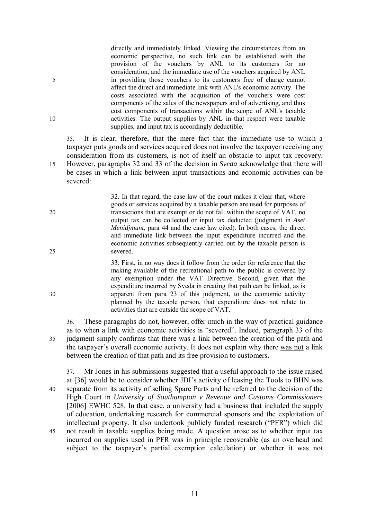directly and immediately linked. Viewing the circumstances from an economic perspective, no such link can be established with the provision of the vouchers by ANL to its customers for no consideration, and the immediate use of the vouchers acquired by ANL 5 in providing those vouchers to its customers free of charge cannot affect the direct and immediate link with ANL's economic activity. The costs associated with the acquisition of the vouchers were cost components of the sales of the newspapers and of advertising, and thus cost components of transactions within the scope of ANL's taxable 10 activities. The output supplies by ANL in that respect were taxable supplies, and input tax is accordingly deductible.

35. It is clear, therefore, that the mere fact that the immediate use to which a taxpayer puts goods and services acquired does not involve the taxpayer receiving any consideration from its customers, is not of itself an obstacle to input tax recovery. 15 However, paragraphs 32 and 33 of the decision in *Sveda* acknowledge that there will be cases in which a link between input transactions and economic activities can be severed:

32. In that regard, the case law of the court makes it clear that, where goods or services acquired by a taxable person are used for purposes of 20 transactions that are exempt or do not fall within the scope of VAT, no output tax can be collected or input tax deducted (judgment in *Aset Menidjmunt*, para 44 and the case law cited). In both cases, the direct and immediate link between the input expenditure incurred and the economic activities subsequently carried out by the taxable person is 25 severed.

33. First, in no way does it follow from the order for reference that the making available of the recreational path to the public is covered by any exemption under the VAT Directive. Second, given that the expenditure incurred by Sveda in creating that path can be linked, as is 30 apparent from para 23 of this judgment, to the economic activity planned by the taxable person, that expenditure does not relate to activities that are outside the scope of VAT.

36. These paragraphs do not, however, offer much in the way of practical guidance as to when a link with economic activities is "severed". Indeed, paragraph 33 of the 35 judgment simply confirms that there was a link between the creation of the path and the taxpayer's overall economic activity. It does not explain why there was not a link between the creation of that path and its free provision to customers.

37. Mr Jones in his submissions suggested that a useful approach to the issue raised at [36] would be to consider whether JDI's activity of leasing the Tools to BHN was 40 separate from its activity of selling Spare Parts and he referred to the decision of the High Court in *University of Southampton v Revenue and Customs Commissioners* [2006] EWHC 528. In that case, a university had a business that included the supply of education, undertaking research for commercial sponsors and the exploitation of intellectual property. It also undertook publicly funded research ("PFR") which did 45 not result in taxable supplies being made. A question arose as to whether input tax incurred on supplies used in PFR was in principle recoverable (as an overhead and subject to the taxpayer's partial exemption calculation) or whether it was not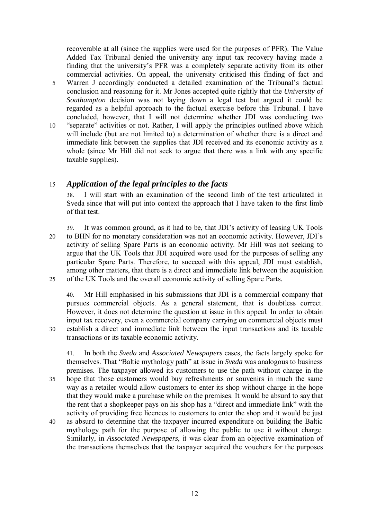recoverable at all (since the supplies were used for the purposes of PFR). The Value Added Tax Tribunal denied the university any input tax recovery having made a finding that the university's PFR was a completely separate activity from its other commercial activities. On appeal, the university criticised this finding of fact and

- 5 Warren J accordingly conducted a detailed examination of the Tribunal's factual conclusion and reasoning for it. Mr Jones accepted quite rightly that the *University of Southampton* decision was not laying down a legal test but argued it could be regarded as a helpful approach to the factual exercise before this Tribunal. I have concluded, however, that I will not determine whether JDI was conducting two
- 10 "separate" activities or not. Rather, I will apply the principles outlined above which will include (but are not limited to) a determination of whether there is a direct and immediate link between the supplies that JDI received and its economic activity as a whole (since Mr Hill did not seek to argue that there was a link with any specific taxable supplies).

# 15 *Application of the legal principles to the facts*

38. I will start with an examination of the second limb of the test articulated in Sveda since that will put into context the approach that I have taken to the first limb of that test.

39. It was common ground, as it had to be, that JDI's activity of leasing UK Tools 20 to BHN for no monetary consideration was not an economic activity. However, JDI's activity of selling Spare Parts is an economic activity. Mr Hill was not seeking to argue that the UK Tools that JDI acquired were used for the purposes of selling any particular Spare Parts. Therefore, to succeed with this appeal, JDI must establish, among other matters, that there is a direct and immediate link between the acquisition 25 of the UK Tools and the overall economic activity of selling Spare Parts.

40. Mr Hill emphasised in his submissions that JDI is a commercial company that pursues commercial objects. As a general statement, that is doubtless correct. However, it does not determine the question at issue in this appeal. In order to obtain input tax recovery, even a commercial company carrying on commercial objects must 30 establish a direct and immediate link between the input transactions and its taxable transactions or its taxable economic activity.

41. In both the *Sveda* and *Associated Newspapers* cases, the facts largely spoke for themselves. That "Baltic mythology path" at issue in *Sveda* was analogous to business premises. The taxpayer allowed its customers to use the path without charge in the 35 hope that those customers would buy refreshments or souvenirs in much the same way as a retailer would allow customers to enter its shop without charge in the hope that they would make a purchase while on the premises. It would be absurd to say that the rent that a shopkeeper pays on his shop has a "direct and immediate link" with the activity of providing free licences to customers to enter the shop and it would be just 40 as absurd to determine that the taxpayer incurred expenditure on building the Baltic

mythology path for the purpose of allowing the public to use it without charge. Similarly, in *Associated Newspapers*, it was clear from an objective examination of the transactions themselves that the taxpayer acquired the vouchers for the purposes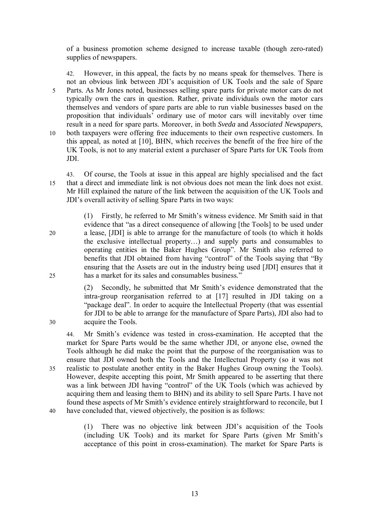of a business promotion scheme designed to increase taxable (though zero-rated) supplies of newspapers.

42. However, in this appeal, the facts by no means speak for themselves. There is not an obvious link between JDI's acquisition of UK Tools and the sale of Spare 5 Parts. As Mr Jones noted, businesses selling spare parts for private motor cars do not typically own the cars in question. Rather, private individuals own the motor cars themselves and vendors of spare parts are able to run viable businesses based on the proposition that individuals' ordinary use of motor cars will inevitably over time result in a need for spare parts. Moreover, in both *Sveda* and *Associated Newspapers*, 10 both taxpayers were offering free inducements to their own respective customers. In this appeal, as noted at [10], BHN, which receives the benefit of the free hire of the UK Tools, is not to any material extent a purchaser of Spare Parts for UK Tools from JDI.

43. Of course, the Tools at issue in this appeal are highly specialised and the fact 15 that a direct and immediate link is not obvious does not mean the link does not exist. Mr Hill explained the nature of the link between the acquisition of the UK Tools and JDI's overall activity of selling Spare Parts in two ways:

(1) Firstly, he referred to Mr Smith's witness evidence. Mr Smith said in that evidence that "as a direct consequence of allowing [the Tools] to be used under 20 a lease, [JDI] is able to arrange for the manufacture of tools (to which it holds the exclusive intellectual property…) and supply parts and consumables to operating entities in the Baker Hughes Group". Mr Smith also referred to benefits that JDI obtained from having "control" of the Tools saying that "By ensuring that the Assets are out in the industry being used [JDI] ensures that it 25 has a market for its sales and consumables business."

(2) Secondly, he submitted that Mr Smith's evidence demonstrated that the intra-group reorganisation referred to at [17] resulted in JDI taking on a "package deal". In order to acquire the Intellectual Property (that was essential for JDI to be able to arrange for the manufacture of Spare Parts), JDI also had to 30 acquire the Tools.

44. Mr Smith's evidence was tested in cross-examination. He accepted that the market for Spare Parts would be the same whether JDI, or anyone else, owned the Tools although he did make the point that the purpose of the reorganisation was to ensure that JDI owned both the Tools and the Intellectual Property (so it was not 35 realistic to postulate another entity in the Baker Hughes Group owning the Tools). However, despite accepting this point, Mr Smith appeared to be asserting that there was a link between JDI having "control" of the UK Tools (which was achieved by acquiring them and leasing them to BHN) and its ability to sell Spare Parts. I have not found these aspects of Mr Smith's evidence entirely straightforward to reconcile, but I 40 have concluded that, viewed objectively, the position is as follows:

> (1) There was no objective link between JDI's acquisition of the Tools (including UK Tools) and its market for Spare Parts (given Mr Smith's acceptance of this point in cross-examination). The market for Spare Parts is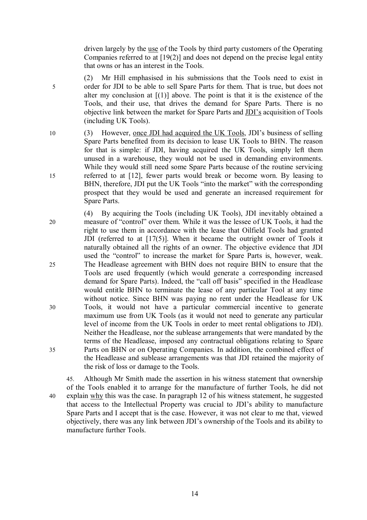driven largely by the use of the Tools by third party customers of the Operating Companies referred to at [19(2)] and does not depend on the precise legal entity that owns or has an interest in the Tools.

- (2) Mr Hill emphasised in his submissions that the Tools need to exist in 5 order for JDI to be able to sell Spare Parts for them. That is true, but does not alter my conclusion at  $[(1)]$  above. The point is that it is the existence of the Tools, and their use, that drives the demand for Spare Parts. There is no objective link between the market for Spare Parts and JDI's acquisition of Tools (including UK Tools).
- 10 (3) However, once JDI had acquired the UK Tools, JDI's business of selling Spare Parts benefited from its decision to lease UK Tools to BHN. The reason for that is simple: if JDI, having acquired the UK Tools, simply left them unused in a warehouse, they would not be used in demanding environments. While they would still need some Spare Parts because of the routine servicing 15 referred to at [12], fewer parts would break or become worn. By leasing to BHN, therefore, JDI put the UK Tools "into the market" with the corresponding prospect that they would be used and generate an increased requirement for Spare Parts.

(4) By acquiring the Tools (including UK Tools), JDI inevitably obtained a 20 measure of "control" over them. While it was the lessee of UK Tools, it had the right to use them in accordance with the lease that Oilfield Tools had granted JDI (referred to at [17(5)]. When it became the outright owner of Tools it naturally obtained all the rights of an owner. The objective evidence that JDI used the "control" to increase the market for Spare Parts is, however, weak. 25 The Headlease agreement with BHN does not require BHN to ensure that the Tools are used frequently (which would generate a corresponding increased demand for Spare Parts). Indeed, the "call off basis" specified in the Headlease would entitle BHN to terminate the lease of any particular Tool at any time without notice. Since BHN was paying no rent under the Headlease for UK 30 Tools, it would not have a particular commercial incentive to generate maximum use from UK Tools (as it would not need to generate any particular level of income from the UK Tools in order to meet rental obligations to JDI). Neither the Headlease, nor the sublease arrangements that were mandated by the terms of the Headlease, imposed any contractual obligations relating to Spare 35 Parts on BHN or on Operating Companies. In addition, the combined effect of the Headlease and sublease arrangements was that JDI retained the majority of the risk of loss or damage to the Tools.

45. Although Mr Smith made the assertion in his witness statement that ownership of the Tools enabled it to arrange for the manufacture of further Tools, he did not 40 explain why this was the case. In paragraph 12 of his witness statement, he suggested that access to the Intellectual Property was crucial to JDI's ability to manufacture Spare Parts and I accept that is the case. However, it was not clear to me that, viewed objectively, there was any link between JDI's ownership of the Tools and its ability to manufacture further Tools.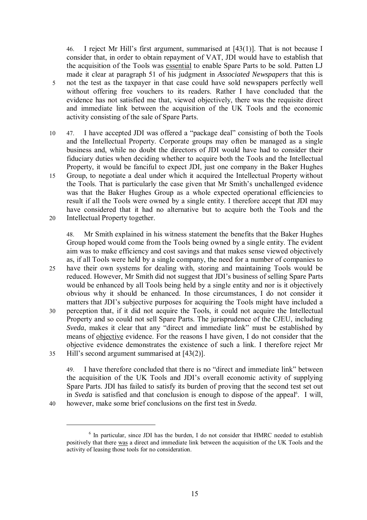46. I reject Mr Hill's first argument, summarised at [43(1)]. That is not because I consider that, in order to obtain repayment of VAT, JDI would have to establish that the acquisition of the Tools was essential to enable Spare Parts to be sold. Patten LJ made it clear at paragraph 51 of his judgment in *Associated Newspapers* that this is 5 not the test as the taxpayer in that case could have sold newspapers perfectly well without offering free vouchers to its readers. Rather I have concluded that the evidence has not satisfied me that, viewed objectively, there was the requisite direct and immediate link between the acquisition of the UK Tools and the economic activity consisting of the sale of Spare Parts.

10 47. I have accepted JDI was offered a "package deal" consisting of both the Tools and the Intellectual Property. Corporate groups may often be managed as a single business and, while no doubt the directors of JDI would have had to consider their fiduciary duties when deciding whether to acquire both the Tools and the Intellectual Property, it would be fanciful to expect JDI, just one company in the Baker Hughes 15 Group, to negotiate a deal under which it acquired the Intellectual Property without the Tools. That is particularly the case given that Mr Smith's unchallenged evidence was that the Baker Hughes Group as a whole expected operational efficiencies to result if all the Tools were owned by a single entity. I therefore accept that JDI may have considered that it had no alternative but to acquire both the Tools and the 20 Intellectual Property together.

48. Mr Smith explained in his witness statement the benefits that the Baker Hughes Group hoped would come from the Tools being owned by a single entity. The evident aim was to make efficiency and cost savings and that makes sense viewed objectively as, if all Tools were held by a single company, the need for a number of companies to 25 have their own systems for dealing with, storing and maintaining Tools would be reduced. However, Mr Smith did not suggest that JDI's business of selling Spare Parts would be enhanced by all Tools being held by a single entity and nor is it objectively obvious why it should be enhanced. In those circumstances, I do not consider it matters that JDI's subjective purposes for acquiring the Tools might have included a 30 perception that, if it did not acquire the Tools, it could not acquire the Intellectual Property and so could not sell Spare Parts. The jurisprudence of the CJEU, including *Sveda*, makes it clear that any "direct and immediate link" must be established by means of objective evidence. For the reasons I have given, I do not consider that the objective evidence demonstrates the existence of such a link. I therefore reject Mr 35 Hill's second argument summarised at [43(2)].

49. I have therefore concluded that there is no "direct and immediate link" between the acquisition of the UK Tools and JDI's overall economic activity of supplying Spare Parts. JDI has failed to satisfy its burden of proving that the second test set out in *Sveda* is satisfied and that conclusion is enough to dispose of the appeal<sup>6</sup>. I will, 40 however, make some brief conclusions on the first test in *Sveda*.

 $\overline{a}$ 

<sup>&</sup>lt;sup>6</sup> In particular, since JDI has the burden, I do not consider that HMRC needed to establish positively that there was a direct and immediate link between the acquisition of the UK Tools and the activity of leasing those tools for no consideration.